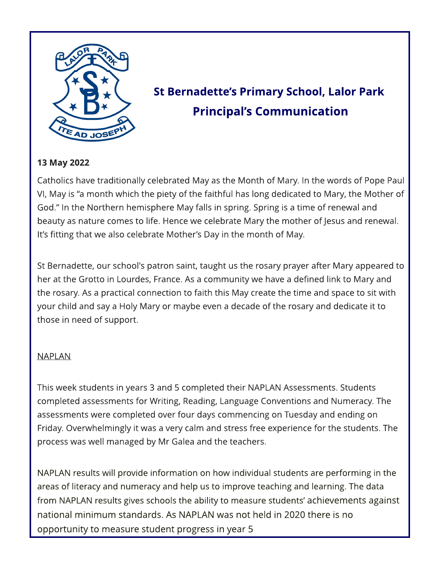

# St Bernadette's Primary School, Lalor Park **Principal's Communication**

# 13 May 2022

Catholics have traditionally celebrated May as the Month of Mary. In the words of Pope Paul VI, May is "a month which the piety of the faithful has long dedicated to Mary, the Mother of God." In the Northern hemisphere May falls in spring. Spring is a time of renewal and beauty as nature comes to life. Hence we celebrate Mary the mother of Jesus and renewal. It's fitting that we also celebrate Mother's Day in the month of May.

St Bernadette, our school's patron saint, taught us the rosary prayer after Mary appeared to her at the Grotto in Lourdes, France. As a community we have a defined link to Mary and the rosary. As a practical connection to faith this May create the time and space to sit with your child and say a Holy Mary or maybe even a decade of the rosary and dedicate it to those in need of support.

#### NAPLAN

This week students in years 3 and 5 completed their NAPLAN Assessments. Students completed assessments for Writing, Reading, Language Conventions and Numeracy. The assessments were completed over four days commencing on Tuesday and ending on Friday. Overwhelmingly it was a very calm and stress free experience for the students. The process was well managed by Mr Galea and the teachers.

NAPLAN results will provide information on how individual students are performing in the areas of literacy and numeracy and help us to improve teaching and learning. The data from NAPLAN results gives schools the ability to measure students' achievements against national minimum standards. As NAPLAN was not held in 2020 there is no opportunity to measure student progress in year 5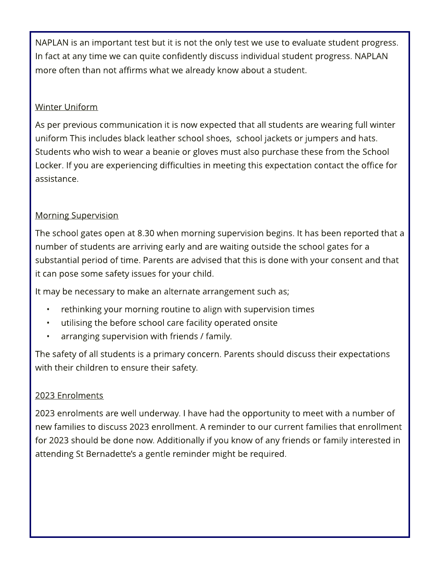NAPLAN is an important test but it is not the only test we use to evaluate student progress. In fact at any time we can quite confidently discuss individual student progress. NAPLAN more often than not affirms what we already know about a student.

# Winter Uniform

As per previous communication it is now expected that all students are wearing full winter uniform This includes black leather school shoes, school jackets or jumpers and hats. Students who wish to wear a beanie or gloves must also purchase these from the School Locker. If you are experiencing difficulties in meeting this expectation contact the office for assistance.

## Morning Supervision

The school gates open at 8.30 when morning supervision begins. It has been reported that a number of students are arriving early and are waiting outside the school gates for a substantial period of time. Parents are advised that this is done with your consent and that it can pose some safety issues for your child.

It may be necessary to make an alternate arrangement such as;

- rethinking your morning routine to align with supervision times
- utilising the before school care facility operated onsite
- arranging supervision with friends / family.

The safety of all students is a primary concern. Parents should discuss their expectations with their children to ensure their safety.

#### 2023 Enrolments

2023 enrolments are well underway. I have had the opportunity to meet with a number of new families to discuss 2023 enrollment. A reminder to our current families that enrollment for 2023 should be done now. Additionally if you know of any friends or family interested in attending St Bernadette?s a gentle reminder might be required.